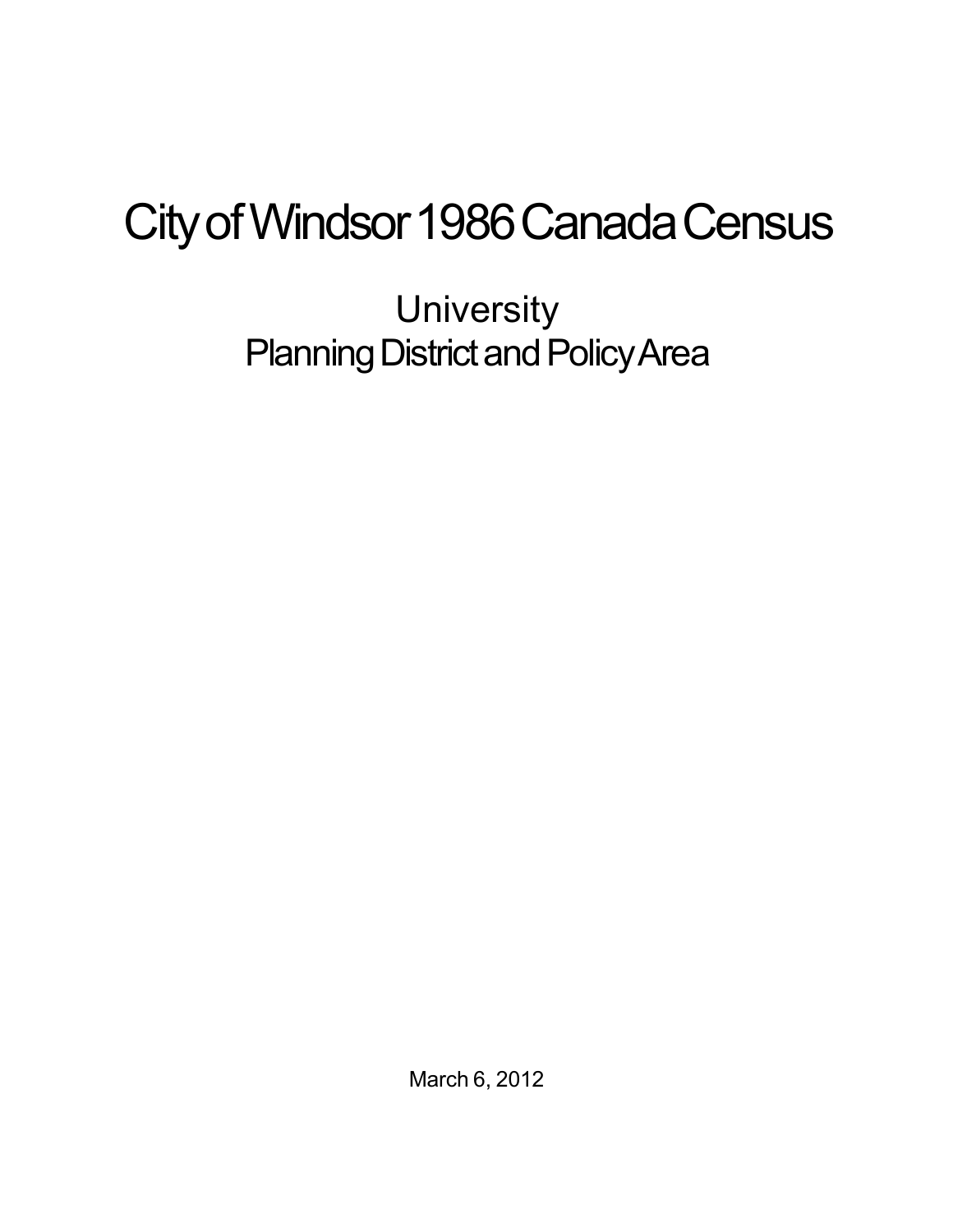## City of Windsor 1986 Canada Census

**University** Planning District and Policy Area

March 6, 2012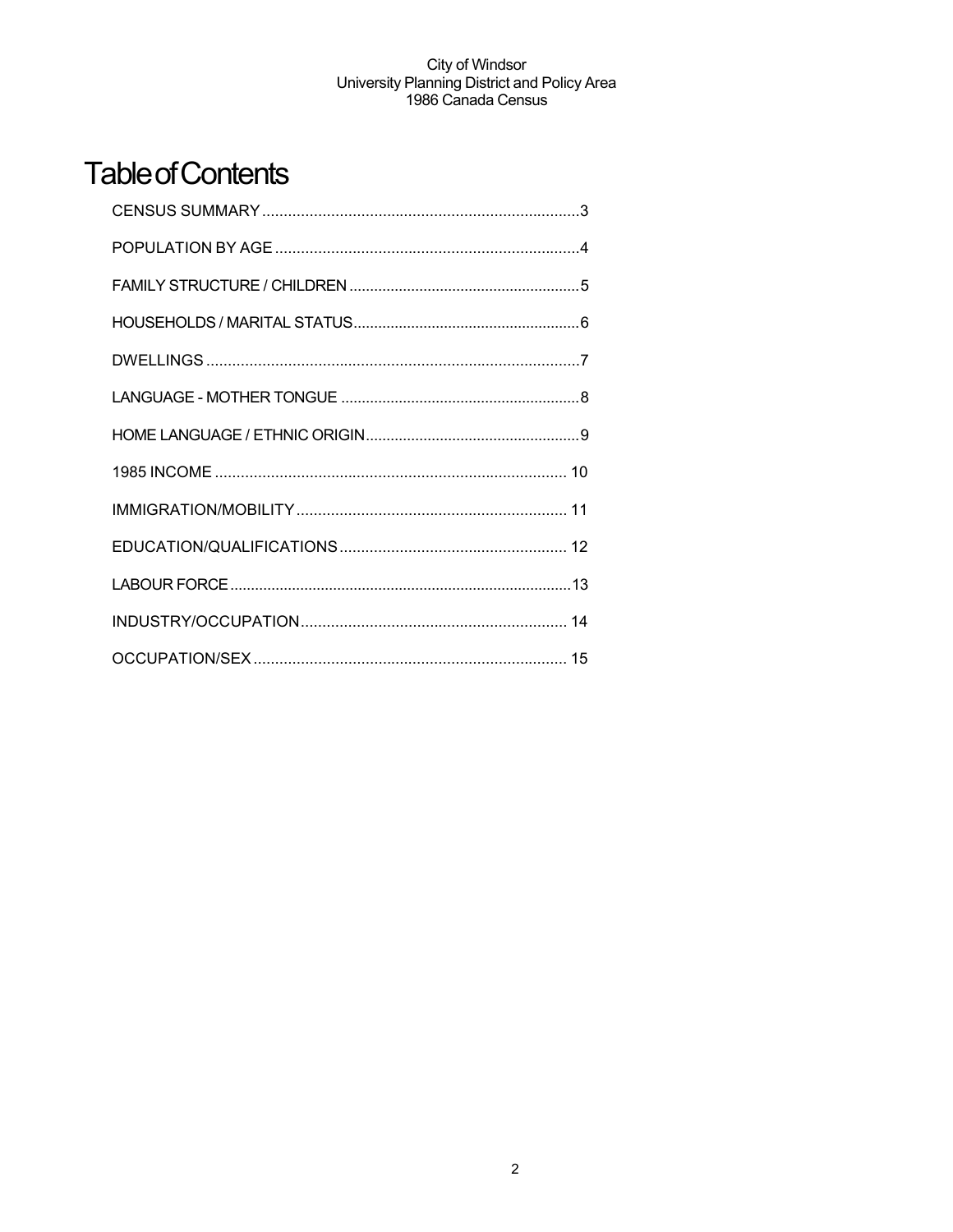## **Table of Contents**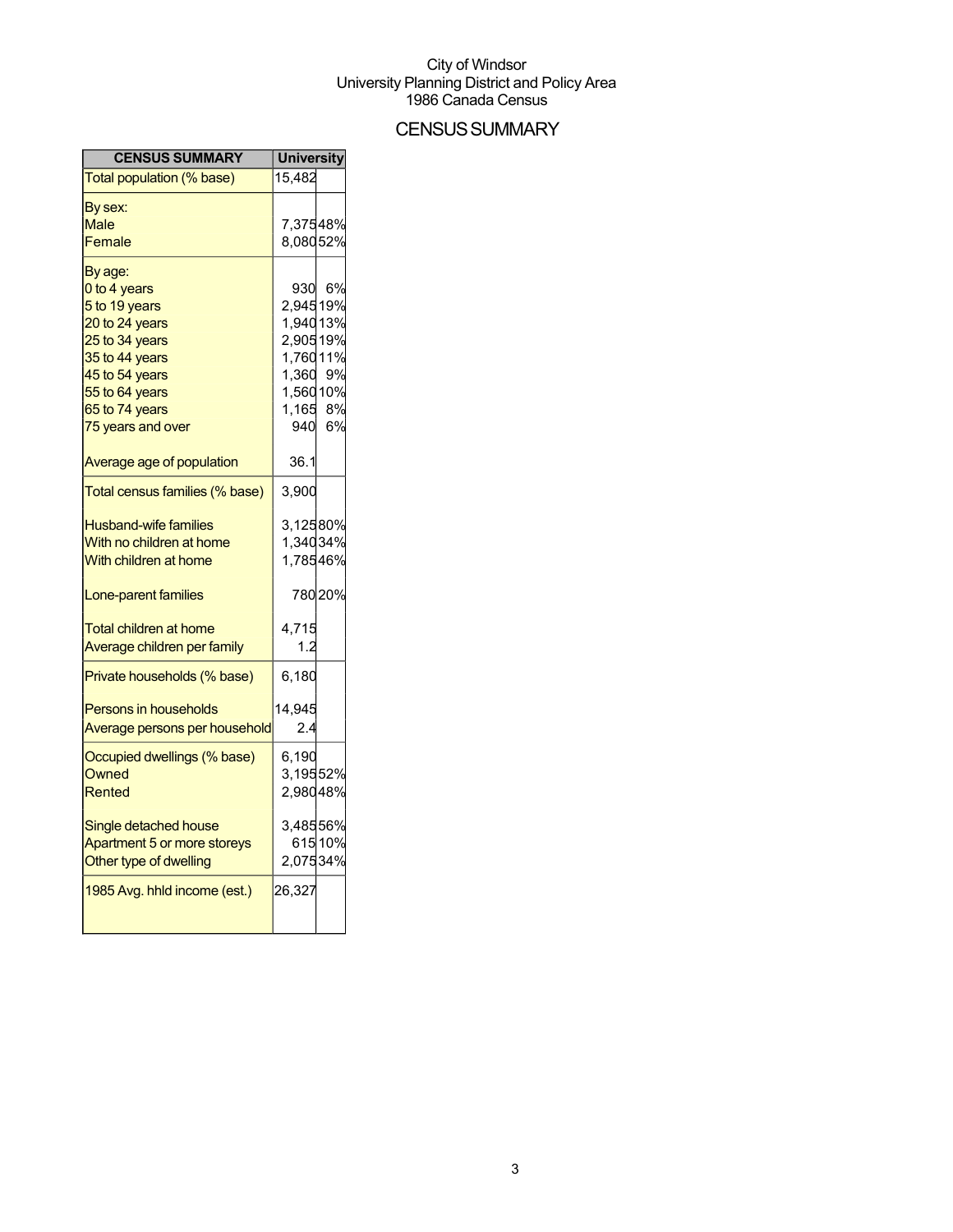## **CENSUS SUMMARY**

| <b>CENSUS SUMMARY</b>          | <b>University</b> |        |
|--------------------------------|-------------------|--------|
| Total population (% base)      | 15,482            |        |
| By sex:                        |                   |        |
| Male                           | 7,37548%          |        |
| Female                         | 8,08052%          |        |
| By age:                        |                   |        |
| 0 to 4 years                   | 930               | 6%     |
| 5 to 19 years                  | 2,94519%          |        |
| 20 to 24 years                 | 1,94013%          |        |
| 25 to 34 years                 | 2,90519%          |        |
| 35 to 44 years                 | 1,76011%          |        |
| 45 to 54 years                 | 1,360 9%          |        |
| 55 to 64 years                 | 1,56010%          |        |
| 65 to 74 years                 | 1,165 8%          |        |
| 75 years and over              |                   | 940 6% |
| Average age of population      | 36.1              |        |
| Total census families (% base) | 3,900             |        |
| <b>Husband-wife families</b>   | 3,12580%          |        |
| With no children at home       | 1,34034%          |        |
| With children at home          | 1,78546%          |        |
| Lone-parent families           |                   | 78020% |
| <b>Total children at home</b>  | 4,715             |        |
| Average children per family    | 1.2               |        |
| Private households (% base)    | 6,180             |        |
| Persons in households          | 14,945            |        |
| Average persons per household  | 2.4               |        |
| Occupied dwellings (% base)    | 6,190             |        |
| Owned                          | 3,19552%          |        |
| Rented                         | 2,98048%          |        |
| Single detached house          | 3,48556%          |        |
| Apartment 5 or more storeys    |                   | 61510% |
| Other type of dwelling         | 2,07534%          |        |
| 1985 Avg. hhld income (est.)   | 26,327            |        |
|                                |                   |        |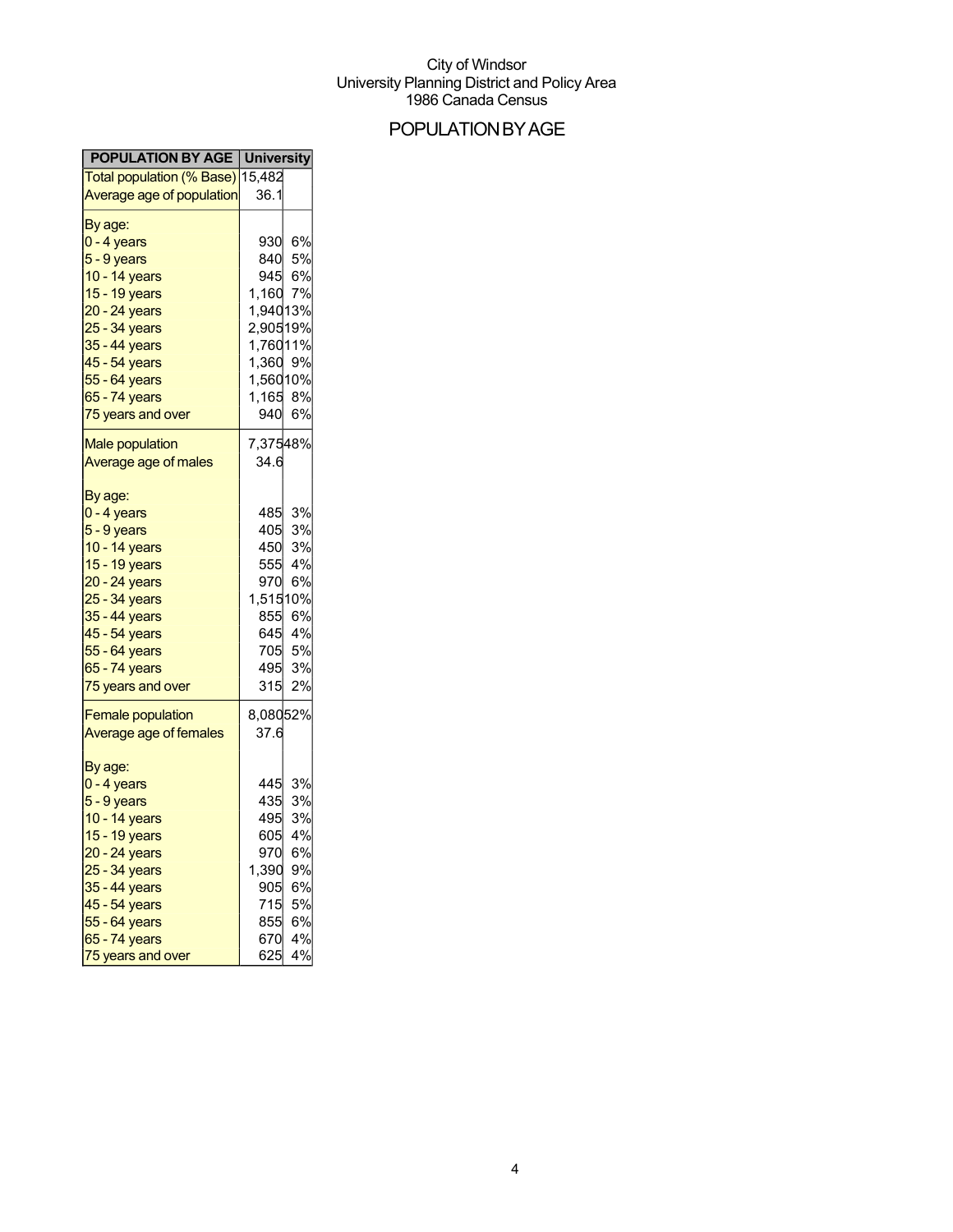## POPULATIONBYAGE

| <b>POPULATION BY AGE   University</b>                                                                                                                                                                |                                                                                      |                                                                  |
|------------------------------------------------------------------------------------------------------------------------------------------------------------------------------------------------------|--------------------------------------------------------------------------------------|------------------------------------------------------------------|
| <mark>Total population (% Base)</mark> 15,482                                                                                                                                                        |                                                                                      |                                                                  |
| <b>Average age of population</b>                                                                                                                                                                     | 36.1                                                                                 |                                                                  |
| By age:<br>0 - 4 years<br>5 - 9 years<br>10 - 14 years<br>15 - 19 years<br>20 - 24 years<br>25 - 34 years<br>35 - 44 years<br>45 - 54 years<br>55 - 64 years<br>65 - 74 years<br>75 years and over   | 1,160<br>1,94013%<br>2,90519%<br>1,76011%<br>1,360 9%<br>1,56010%<br>1,165 8%<br>940 | 930 6%<br>840 5%<br>945 6%<br>7%<br>6%                           |
| <b>Male population</b><br>Average age of males                                                                                                                                                       | 7,37548%<br>34.6                                                                     |                                                                  |
| By age:<br>0 - 4 years<br>5 - 9 years<br>10 - 14 years<br>15 - 19 years<br>20 - 24 years<br>25 - 34 years<br>35 - 44 years<br>45 - 54 years<br>55 - 64 years<br>65 - 74 years<br>75 years and over   | 485<br>405<br>450<br>555<br>970<br>1,51510%<br>855<br>495<br>315                     | 3%<br>3%<br>3%<br>4%<br>6%<br>6%<br>645 4%<br>705 5%<br>3%<br>2% |
| <b>Female population</b><br>Average age of females                                                                                                                                                   | 8,08052%<br>37.6                                                                     |                                                                  |
| By age:<br>$0 - 4$ years<br>5 - 9 years<br>10 - 14 years<br>15 - 19 years<br>20 - 24 years<br>25 - 34 years<br>35 - 44 years<br>45 - 54 years<br>55 - 64 years<br>65 - 74 years<br>75 years and over | 445<br>435<br>495<br>605<br>970<br>1,390<br>905<br>715<br>855<br>670<br>625          | 3%<br>3%<br>3%<br>4%<br>6%<br>9%<br>6%<br>5%<br>6%<br>4%<br>4%   |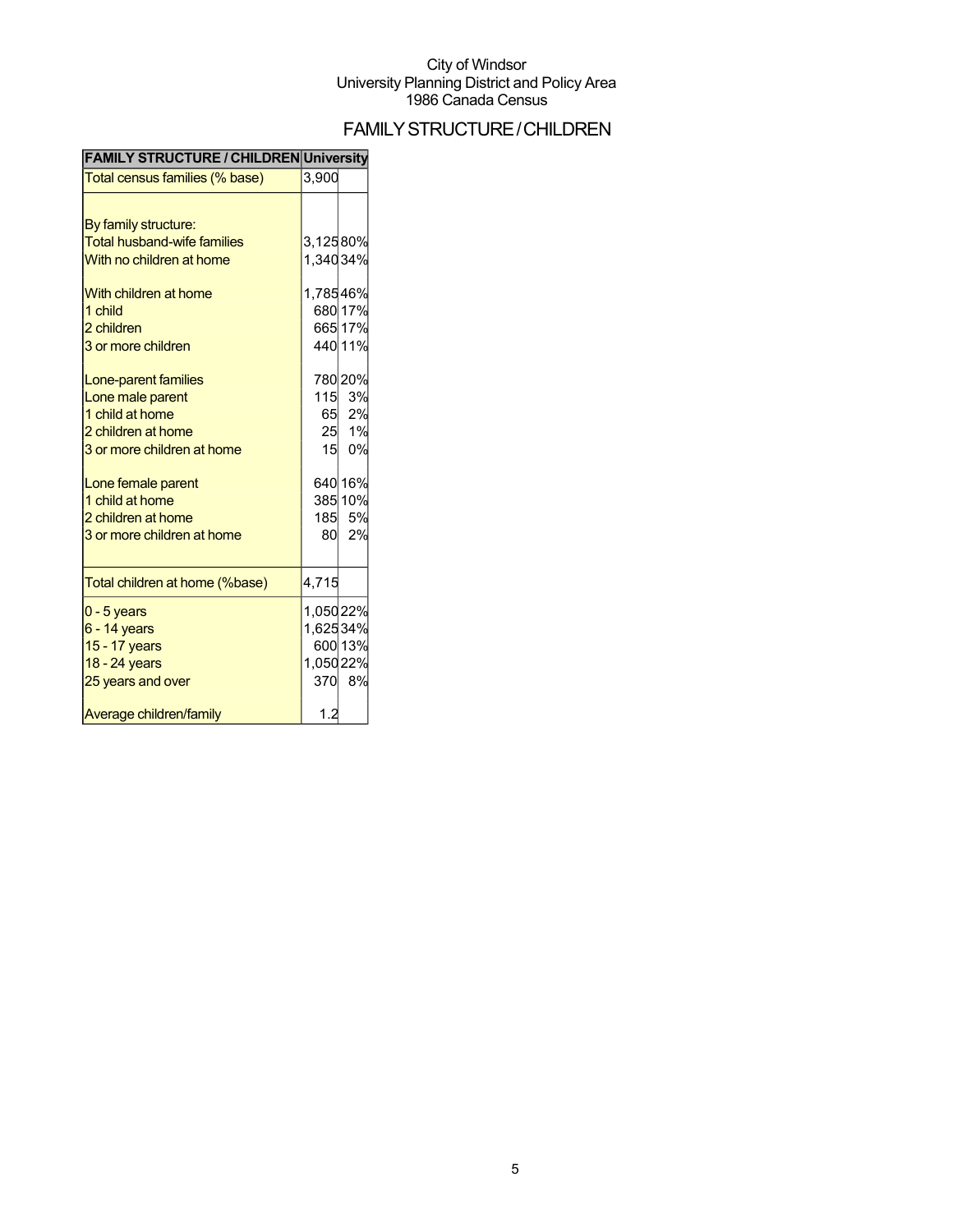## FAMILYSTRUCTURE/CHILDREN

| <b>FAMILY STRUCTURE / CHILDREN University</b> |          |         |
|-----------------------------------------------|----------|---------|
| Total census families (% base)                | 3,900    |         |
|                                               |          |         |
| By family structure:                          |          |         |
| <b>Total husband-wife families</b>            | 3,12580% |         |
| With no children at home                      | 1,34034% |         |
| With children at home                         | 1,78546% |         |
| 1 child                                       |          | 680 17% |
| 2 children                                    |          | 665 17% |
| 3 or more children                            |          | 440 11% |
| Lone-parent families                          |          | 780 20% |
| Lone male parent                              | 115      | 3%      |
| 1 child at home                               |          | 65 2%   |
| 2 children at home                            |          | 25 1%   |
| 3 or more children at home                    | 15       | 0%      |
| Lone female parent                            |          | 640 16% |
| 1 child at home                               |          | 385 10% |
| 2 children at home                            |          | 185 5%  |
| 3 or more children at home                    | 80       | 2%      |
| Total children at home (%base)                | 4,715    |         |
| $0 - 5$ years                                 | 1,05022% |         |
| $6 - 14$ years                                | 1,62534% |         |
| 15 - 17 years                                 |          | 600 13% |
| 18 - 24 years                                 | 1,05022% |         |
| 25 years and over                             |          | 370 8%  |
| Average children/family                       | 1.2      |         |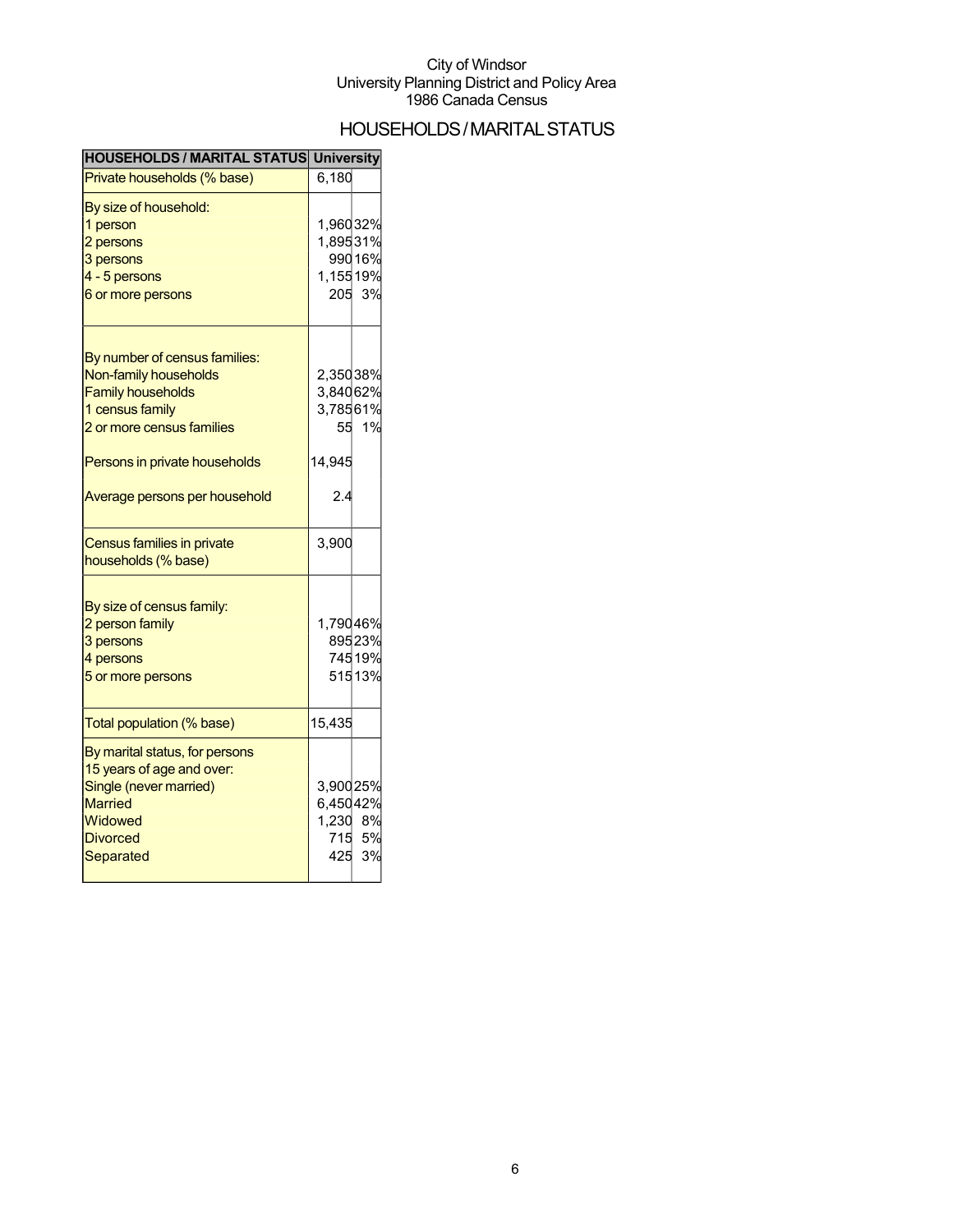## HOUSEHOLDS/MARITALSTATUS

| <b>HOUSEHOLDS / MARITAL STATUS University</b> |          |        |
|-----------------------------------------------|----------|--------|
| Private households (% base)                   | 6,180    |        |
| By size of household:                         |          |        |
| 1 person                                      | 1,96032% |        |
| 2 persons                                     | 1,89531% |        |
| 3 persons                                     |          | 99016% |
| 4 - 5 persons                                 | 1,15519% |        |
| 6 or more persons                             |          | 205 3% |
| By number of census families:                 |          |        |
| Non-family households                         | 2,35038% |        |
| <b>Family households</b>                      | 3,84062% |        |
| 1 census family                               | 3,78561% |        |
| 2 or more census families                     |          | 55 1%  |
|                                               |          |        |
| Persons in private households                 | 14,945   |        |
| Average persons per household                 | 2.4      |        |
| Census families in private                    | 3,900    |        |
| households (% base)                           |          |        |
| By size of census family:                     |          |        |
| 2 person family                               | 1,79046% |        |
| 3 persons                                     |          | 89523% |
| 4 persons                                     |          | 74519% |
| 5 or more persons                             |          | 51513% |
| Total population (% base)                     | 15,435   |        |
| By marital status, for persons                |          |        |
| 15 years of age and over:                     |          |        |
| Single (never married)                        | 3,90025% |        |
| <b>Married</b>                                | 6,45042% |        |
| Widowed                                       | 1,230 8% |        |
| <b>Divorced</b>                               |          | 715 5% |
| Separated                                     | 425      | 3%     |
|                                               |          |        |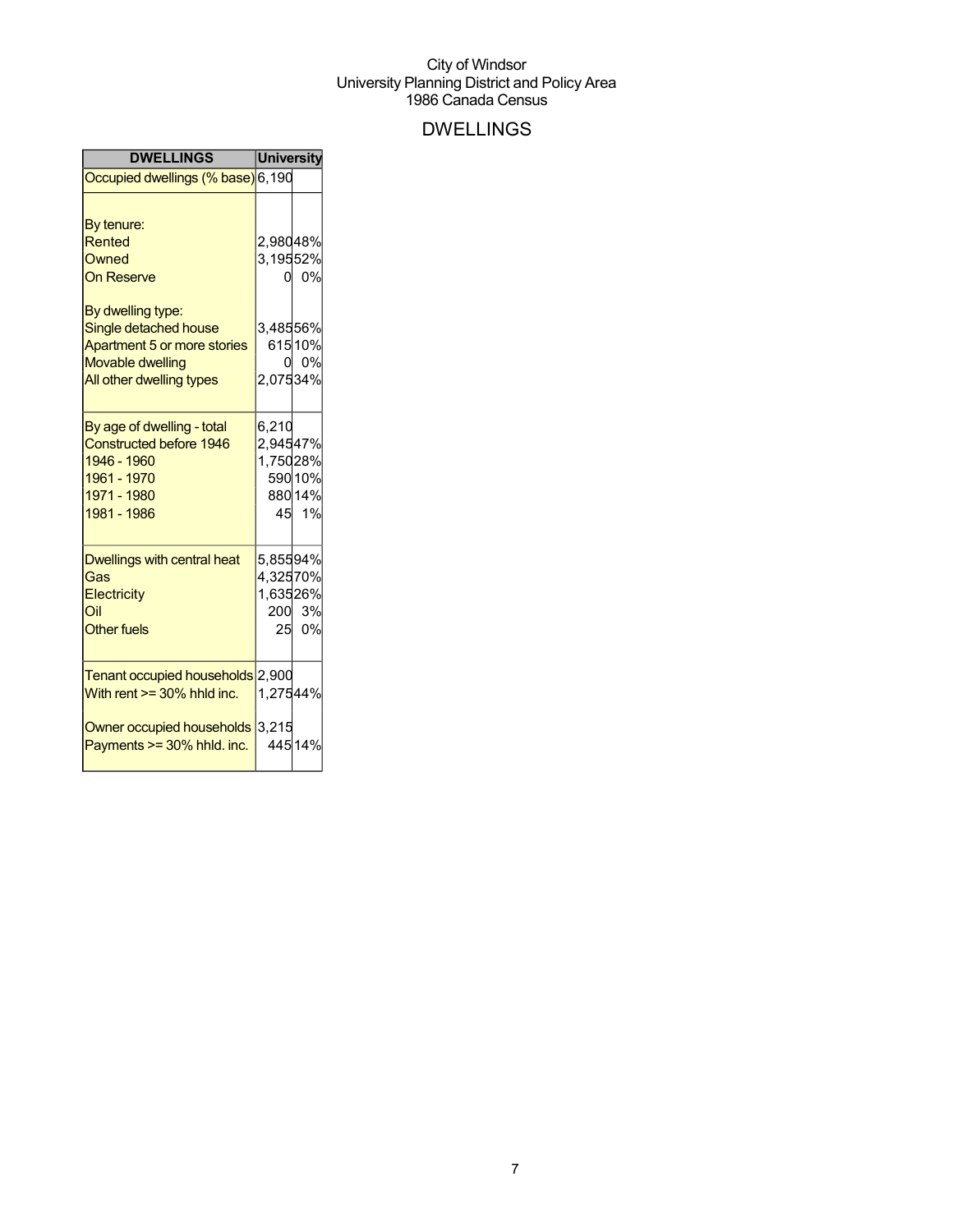## DWELLINGS

| <b>DWELLINGS</b>                                                                                                                 | <b>University</b>                             |                            |
|----------------------------------------------------------------------------------------------------------------------------------|-----------------------------------------------|----------------------------|
| Occupied dwellings (% base) 6,190                                                                                                |                                               |                            |
| By tenure:<br><b>Rented</b><br>Owned                                                                                             | 2,98048%<br>3,19552%                          |                            |
| <b>On Reserve</b>                                                                                                                | 01                                            | 0%                         |
| By dwelling type:<br>Single detached house<br>Apartment 5 or more stories<br><b>Movable dwelling</b><br>All other dwelling types | 3,48556%<br>0<br>2,07534%                     | 61510%<br>0%               |
| By age of dwelling - total<br><b>Constructed before 1946</b><br>1946 - 1960<br>1961 - 1970<br>1971 - 1980<br>1981 - 1986         | 6,210<br>2,94547%<br>1,75028%                 | 590 10%<br>88014%<br>45 1% |
| Dwellings with central heat<br>Gas<br>Electricity<br>Oil<br><b>Other fuels</b>                                                   | 5,85594%<br>4,32570%<br>1,63526%<br>200<br>25 | 3%<br>0%                   |
| <b>Tenant occupied households</b><br>With rent $>=$ 30% hhld inc.                                                                | 2,900<br>1,27544%                             |                            |
| Owner occupied households<br>Payments >= 30% hhld. inc.                                                                          | 3,215                                         | 445 14%                    |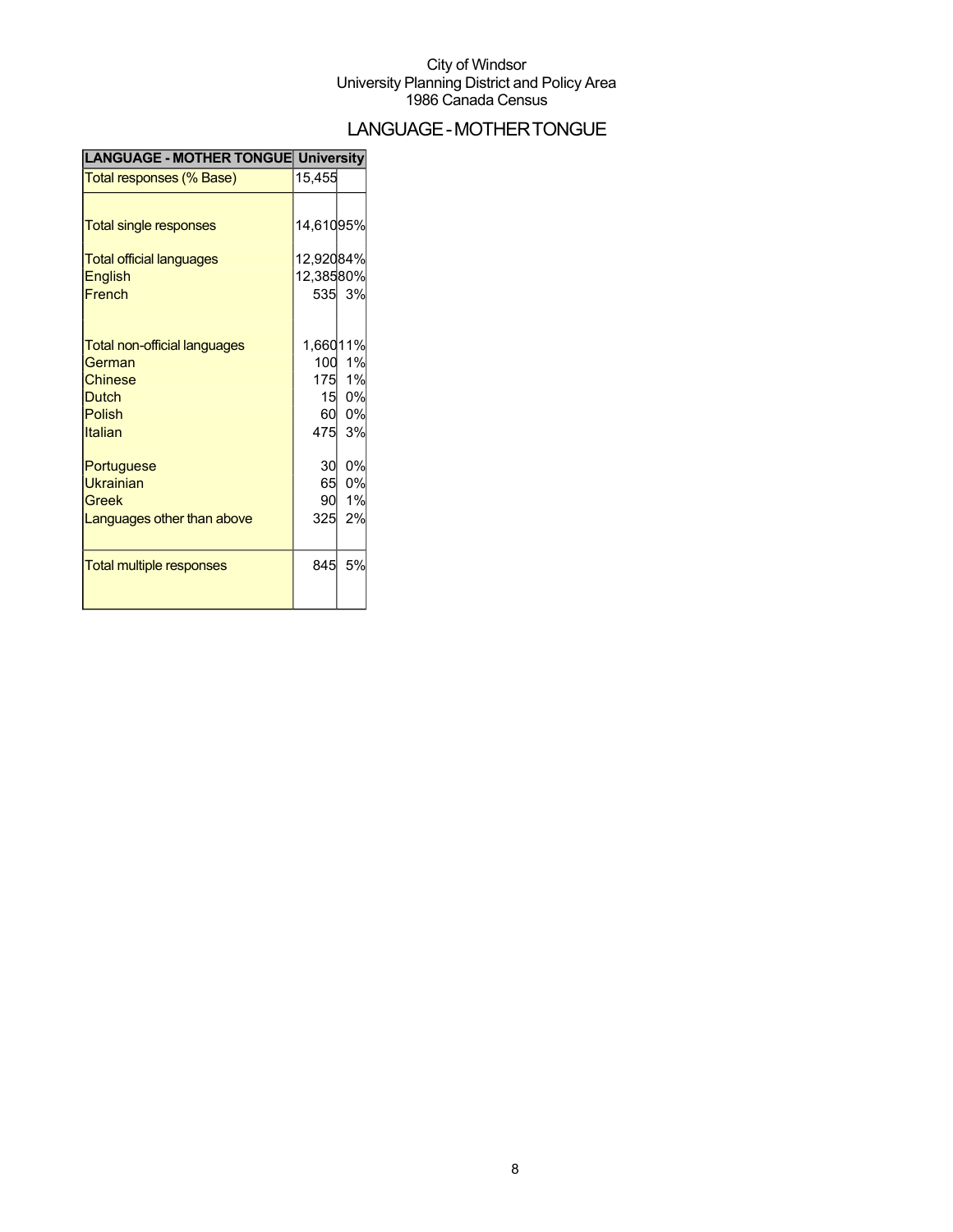## LANGUAGE-MOTHERTONGUE

| <b>LANGUAGE - MOTHER TONGUE University</b> |           |        |
|--------------------------------------------|-----------|--------|
| Total responses (% Base)                   | 15,455    |        |
|                                            |           |        |
| Total single responses                     | 14,61095% |        |
| <b>Total official languages</b>            | 12,92084% |        |
| English                                    | 12,38580% |        |
| French                                     |           | 535 3% |
|                                            |           |        |
| <b>Total non-official languages</b>        | 1,66011%  |        |
| German                                     |           | 100 1% |
| Chinese                                    |           | 175 1% |
| <b>Dutch</b>                               | 15        | 0%     |
| Polish                                     | 60        | 0%     |
| Italian                                    | 475       | 3%     |
| Portuguese                                 | 30        | 0%     |
| <b>Ukrainian</b>                           | 65        | 0%     |
| Greek                                      | 90        | 1%     |
| Languages other than above                 | 325       | 2%     |
|                                            |           |        |
| <b>Total multiple responses</b>            | 845       | 5%     |
|                                            |           |        |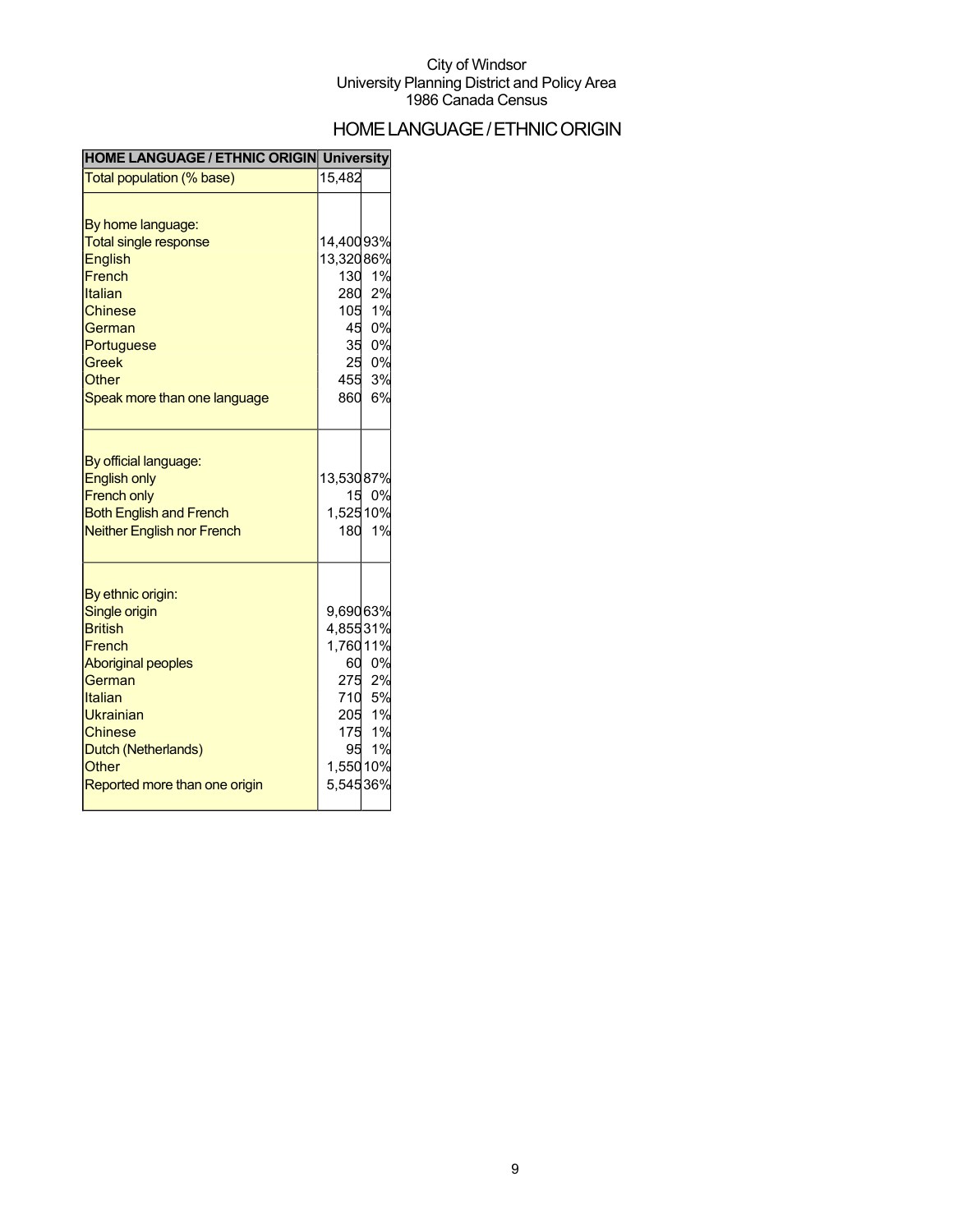## HOMELANGUAGE/ETHNICORIGIN

| <b>HOME LANGUAGE / ETHNIC ORIGIN University</b>                                                                                                                                                                  |                                                                        |                                                 |
|------------------------------------------------------------------------------------------------------------------------------------------------------------------------------------------------------------------|------------------------------------------------------------------------|-------------------------------------------------|
| Total population (% base)                                                                                                                                                                                        | 15,482                                                                 |                                                 |
| By home language:<br><b>Total single response</b><br><b>English</b><br>French<br>Italian<br><b>Chinese</b><br>German<br>Portuguese<br><b>Greek</b><br>Other<br>Speak more than one language                      | 14,40093%<br>13,32086%<br>130<br>280<br>105<br>45<br>35<br>455<br>860  | 1%<br>2%<br>1%<br>0%<br>0%<br>25 0%<br>3%<br>6% |
| By official language:<br><b>English only</b><br><b>French only</b><br><b>Both English and French</b><br><b>Neither English nor French</b>                                                                        | 13,53087%<br>1,52510%<br>180                                           | 15 0%<br>1%                                     |
| By ethnic origin:<br>Single origin<br><b>British</b><br>French<br><b>Aboriginal peoples</b><br>German<br>Italian<br>Ukrainian<br><b>Chinese</b><br>Dutch (Netherlands)<br>Other<br>Reported more than one origin | 9,69063%<br>4,85531%<br>1,76011%<br>175<br>95<br>1,550 10%<br>5,54536% | 60 0%<br>275 2%<br>710 5%<br>205 1%<br>1%<br>1% |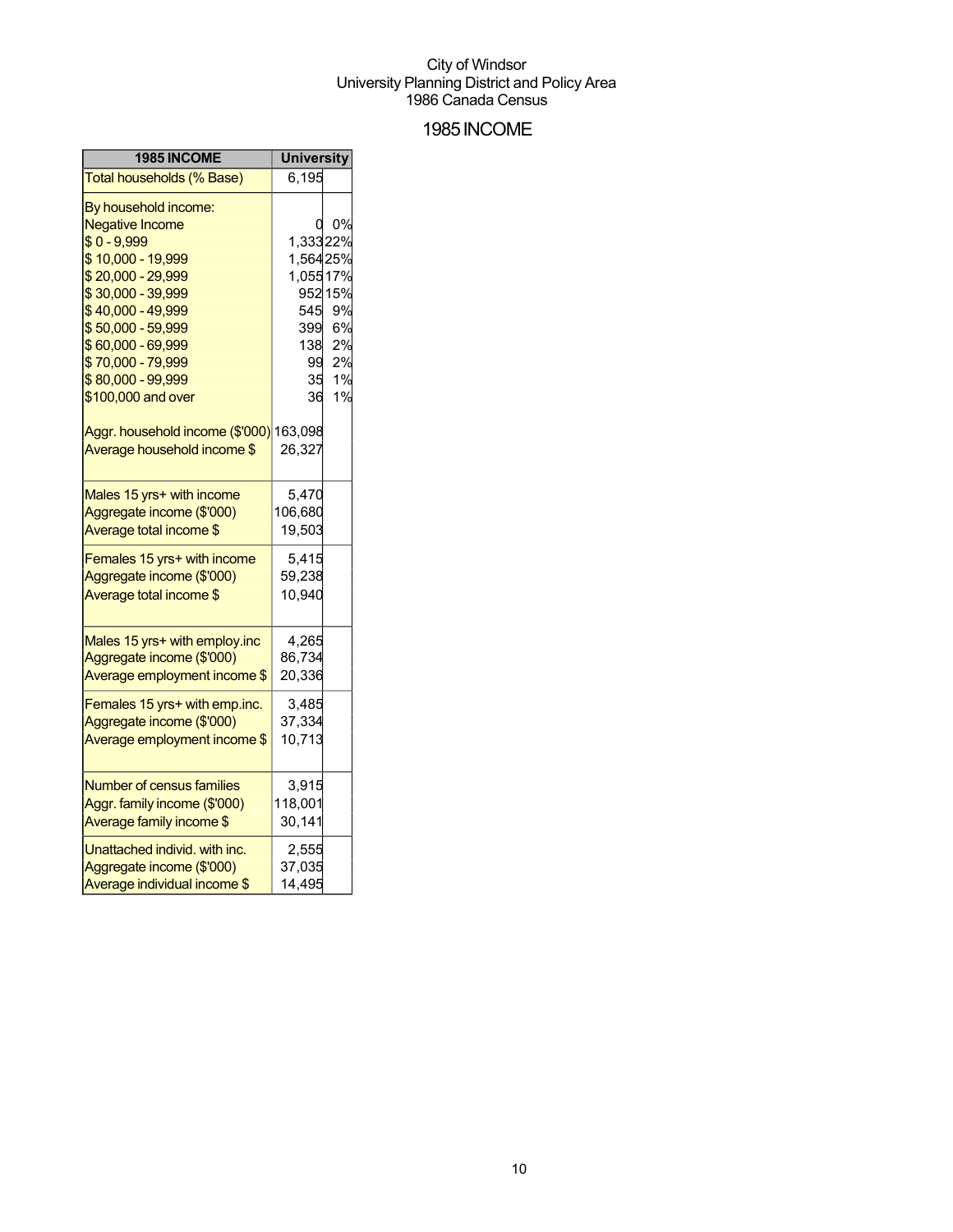### 1985INCOME

| 1985 INCOME                             | <b>University</b> |         |
|-----------------------------------------|-------------------|---------|
| Total households (% Base)               | 6,195             |         |
| By household income:                    |                   |         |
| <b>Negative Income</b>                  |                   | 0%      |
| $$0 - 9,999$                            | 1,33322%          |         |
| \$10,000 - 19,999                       | 1,56425%          |         |
| \$20,000 - 29,999                       | 1,05517%          |         |
| \$30,000 - 39,999                       |                   | 952 15% |
| \$40,000 - 49,999                       | 545               | 9%      |
| \$50,000 - 59,999                       | 399               | 6%      |
| \$60,000 - 69,999                       | 138               | 2%      |
| \$70,000 - 79,999                       | 99                | 2%      |
| \$80,000 - 99,999                       | 35                | 1%      |
| \$100,000 and over                      | 36                | 1%      |
| Aggr. household income (\$'000) 163,098 |                   |         |
| Average household income \$             | 26,327            |         |
| Males 15 yrs+ with income               | 5,470             |         |
| Aggregate income (\$'000)               | 106,680           |         |
| Average total income \$                 | 19,503            |         |
| Females 15 yrs+ with income             | 5,415             |         |
| Aggregate income (\$'000)               | 59,238            |         |
| Average total income \$                 | 10,940            |         |
| Males 15 yrs+ with employ.inc           | 4,265             |         |
| Aggregate income (\$'000)               | 86,734            |         |
| Average employment income \$            | 20,336            |         |
|                                         |                   |         |
| Females 15 yrs+ with emp.inc.           | 3,485             |         |
| Aggregate income (\$'000)               | 37,334            |         |
| Average employment income \$            | 10,713            |         |
| <b>Number of census families</b>        | 3,915             |         |
| Aggr. family income (\$'000)            | 118,001           |         |
| Average family income \$                | 30,141            |         |
| Unattached individ. with inc.           | 2,555             |         |
| Aggregate income (\$'000)               | 37,035            |         |
| Average individual income \$            | 14,495            |         |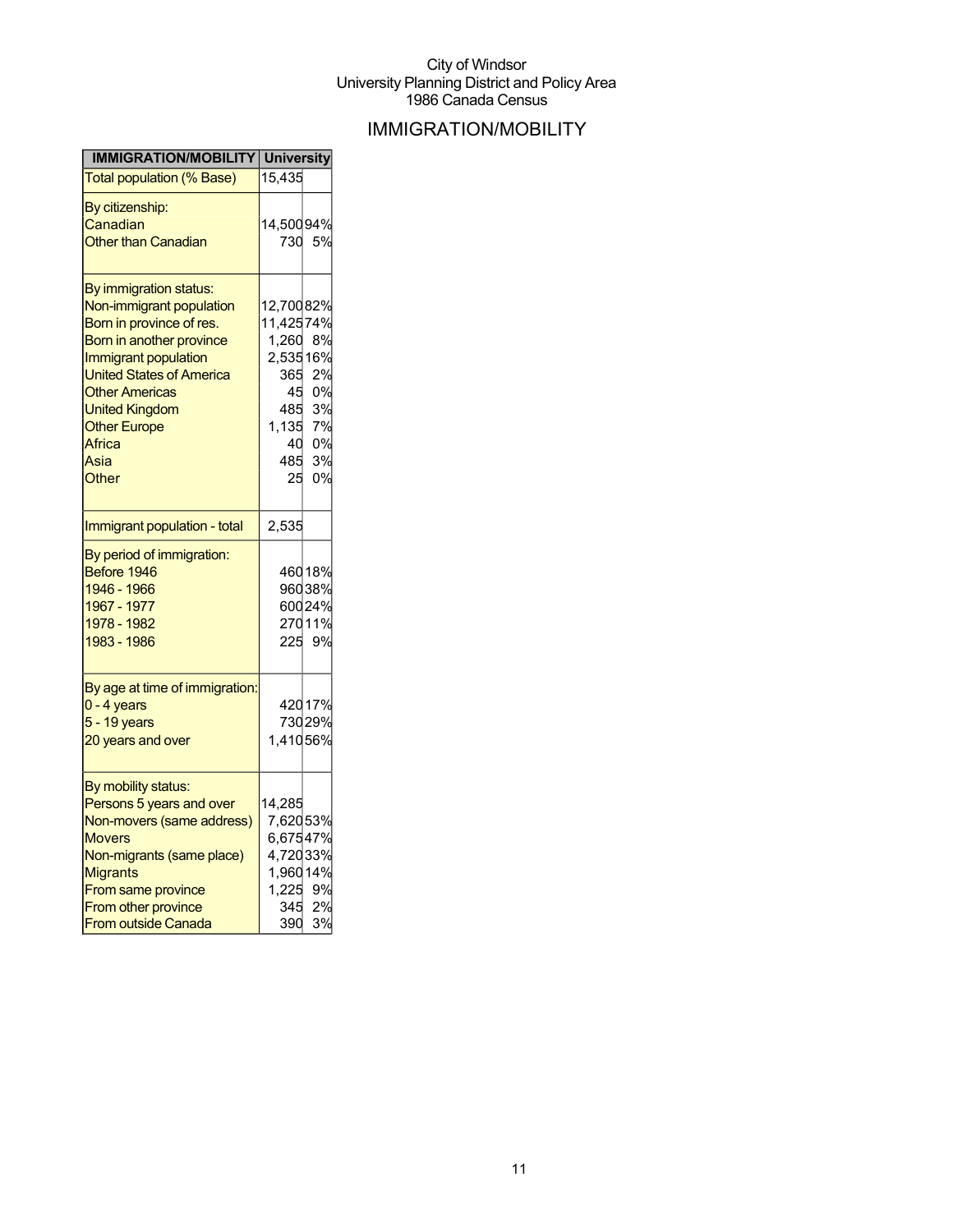## IMMIGRATION/MOBILITY

| <b>IMMIGRATION/MOBILITY University</b>        |           |        |
|-----------------------------------------------|-----------|--------|
| Total population (% Base)                     | 15,435    |        |
| By citizenship:                               |           |        |
| Canadian                                      | 14,50094% |        |
| <b>Other than Canadian</b>                    | 730       | 5%     |
|                                               |           |        |
| <u>By immigration status:</u>                 |           |        |
| Non-immigrant population                      | 12,70082% |        |
| Born in province of res.                      | 11,42574% |        |
| Born in another province                      | 1,260     | 8%     |
| Immigrant population                          | 2,53516%  |        |
| <b>United States of America</b>               | 365       | 2%     |
| <b>Other Americas</b>                         | 45        | 0%     |
| <b>United Kingdom</b>                         | 485       | 3%     |
| <b>Other Europe</b>                           | 1,135     | 7%     |
| Africa                                        | 40        | 0%     |
| Asia                                          | 485       | 3%     |
| Other                                         | 25        | 0%     |
|                                               |           |        |
| Immigrant population - total                  | 2,535     |        |
| By period of immigration:                     |           |        |
| Before 1946                                   |           | 46018% |
| 1946 - 1966                                   |           | 96038% |
| 1967 - 1977                                   |           | 60024% |
| 1978 - 1982                                   |           | 27011% |
| 1983 - 1986                                   | 225       | 9%     |
|                                               |           |        |
| By age at time of immigration:<br>0 - 4 years |           | 42017% |
| 5 - 19 years                                  |           | 73029% |
| 20 years and over                             | 1,41056%  |        |
|                                               |           |        |
| By mobility status:                           |           |        |
| Persons 5 years and over                      | 14,285    |        |
| Non-movers (same address)                     | 7,62053%  |        |
| <b>Movers</b>                                 | 6,67547%  |        |
| Non-migrants (same place)                     | 4,72033%  |        |
| <b>Migrants</b>                               | 1,96014%  |        |
| From same province                            | 1,225     | 9%     |
| From other province                           | 345       | 2%     |
| <b>From outside Canada</b>                    | 390       | 3%     |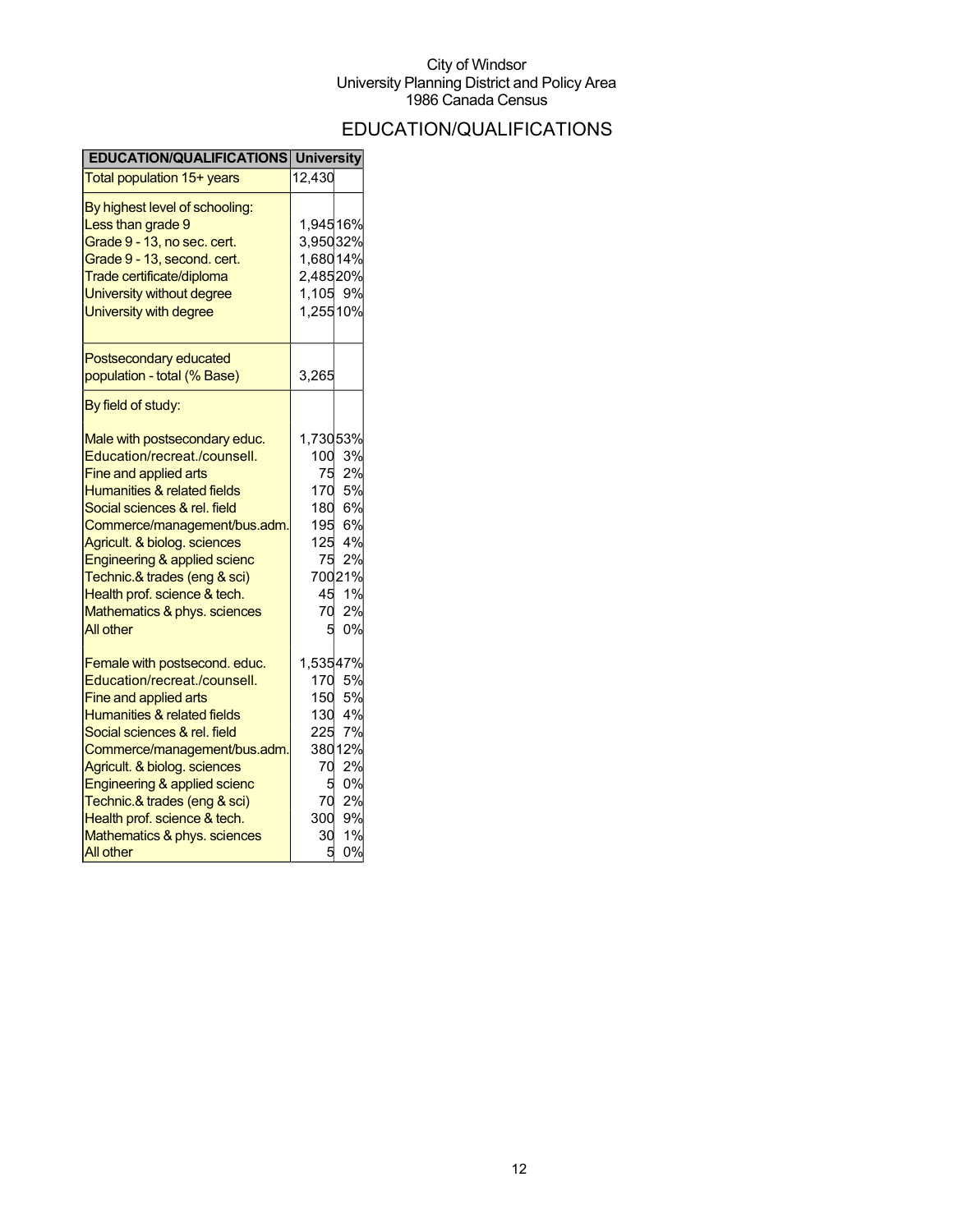## EDUCATION/QUALIFICATIONS

| <b>EDUCATION/QUALIFICATIONS</b> | <b>University</b> |        |
|---------------------------------|-------------------|--------|
| Total population 15+ years      | 12,430            |        |
| By highest level of schooling:  |                   |        |
| Less than grade 9               | 1,94516%          |        |
| Grade 9 - 13, no sec. cert.     | 3,95032%          |        |
| Grade 9 - 13, second. cert.     | 1,68014%          |        |
| Trade certificate/diploma       | 2,48520%          |        |
| University without degree       | 1,105 9%          |        |
| University with degree          | 1,25510%          |        |
| Postsecondary educated          |                   |        |
| population - total (% Base)     | 3,265             |        |
| By field of study:              |                   |        |
| Male with postsecondary educ.   | 1,73053%          |        |
| Education/recreat./counsell.    | 100               | 3%     |
| Fine and applied arts           | 75                | 2%     |
| Humanities & related fields     | 170               | 5%     |
| Social sciences & rel. field    | 180               | 6%     |
| Commerce/management/bus.adm.    |                   | 195 6% |
| Agricult. & biolog. sciences    |                   | 125 4% |
| Engineering & applied scienc    | 75                | 2%     |
| Technic.& trades (eng & sci)    |                   | 70021% |
| Health prof. science & tech.    | 45                | 1%     |
| Mathematics & phys. sciences    | 70                | 2%     |
| All other                       | 5                 | 0%     |
| Female with postsecond. educ.   | 1,53547%          |        |
| Education/recreat./counsell.    | 170               | 5%     |
| Fine and applied arts           | 150               | 5%     |
| Humanities & related fields     |                   | 130 4% |
| Social sciences & rel. field    | 225               | 7%     |
| Commerce/management/bus.adm     |                   | 38012% |
| Agricult. & biolog. sciences    | 70                | 2%     |
| Engineering & applied scienc    | 5                 | 0%     |
| Technic.& trades (eng & sci)    | 70                | 2%     |
| Health prof. science & tech.    | 300               | 9%     |
| Mathematics & phys. sciences    | 30                | 1%     |
| <b>All other</b>                | 5                 | 0%     |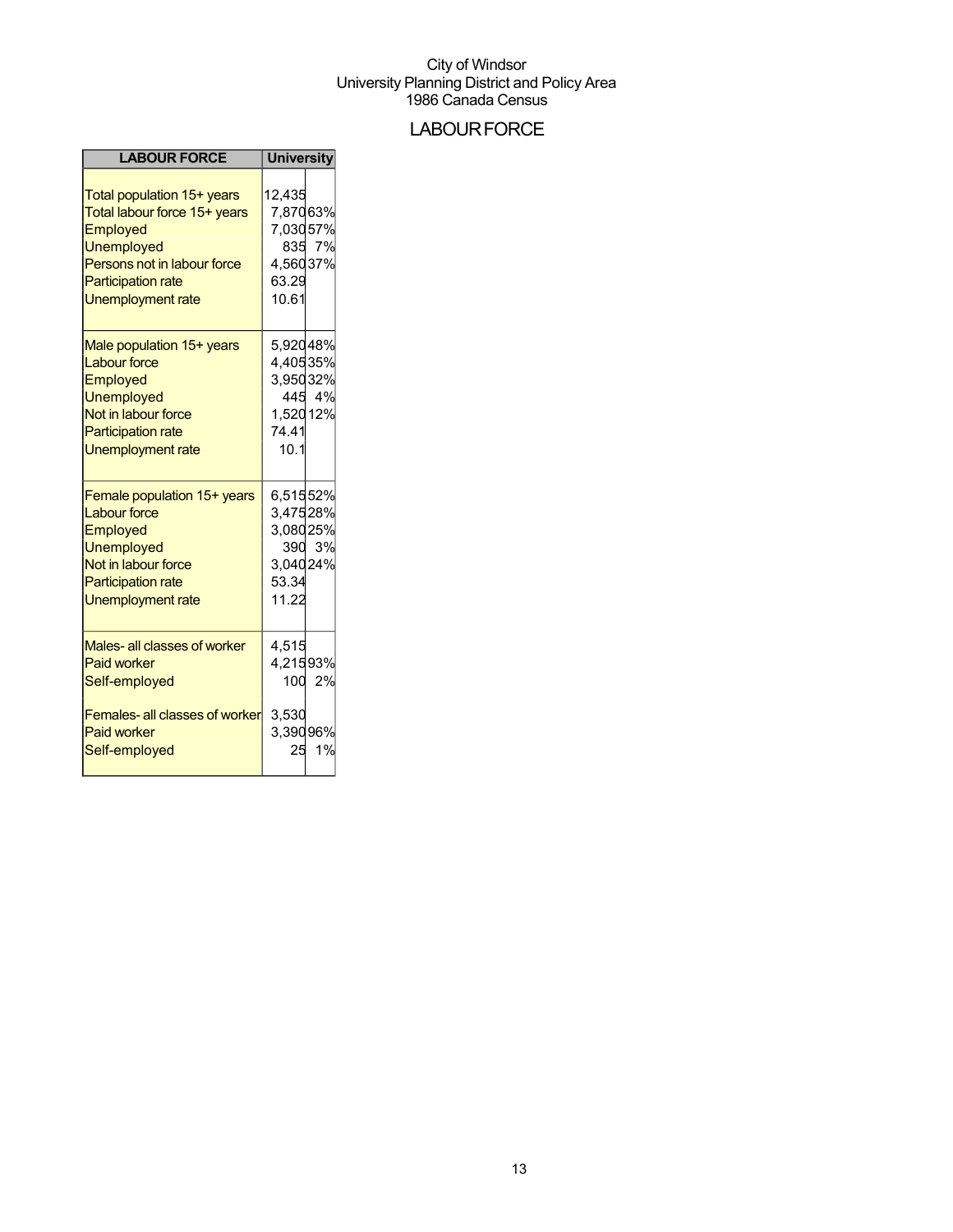### **LABOUR FORCE**

| <b>LABOUR FORCE</b>                                                                                                                                                                 | <b>University</b>                                              |              |
|-------------------------------------------------------------------------------------------------------------------------------------------------------------------------------------|----------------------------------------------------------------|--------------|
| Total population 15+ years<br>Total labour force 15+ years<br>Employed<br><b>Unemployed</b><br>Persons not in labour force<br><b>Participation rate</b><br><b>Unemployment rate</b> | 12.435<br>7,87063%<br>7,03057%<br>4,56037%<br>63.29<br>10.61   | 835 7%       |
| Male population 15+ years<br><b>Labour force</b><br>Employed<br><b>Unemployed</b><br>Not in labour force<br><b>Participation rate</b><br><b>Unemployment rate</b>                   | 5,92048%<br>4,40535%<br>3,95032%<br>1,520 12%<br>74.41<br>10.1 | 445 4%       |
| Female population 15+ years<br><b>Labour force</b><br>Employed<br><b>Unemployed</b><br>Not in labour force<br><b>Participation rate</b><br><b>Unemployment rate</b>                 | 6,51552%<br>3,47528%<br>3,08025%<br>3,04024%<br>53.34<br>11.22 | 390 3%       |
| Males- all classes of worker<br><b>Paid worker</b><br>Self-employed<br>Females- all classes of worker<br><b>Paid worker</b><br>Self-employed                                        | 4,515<br>4,21593%<br>3,530<br>3,39096%<br>25                   | 100 2%<br>1% |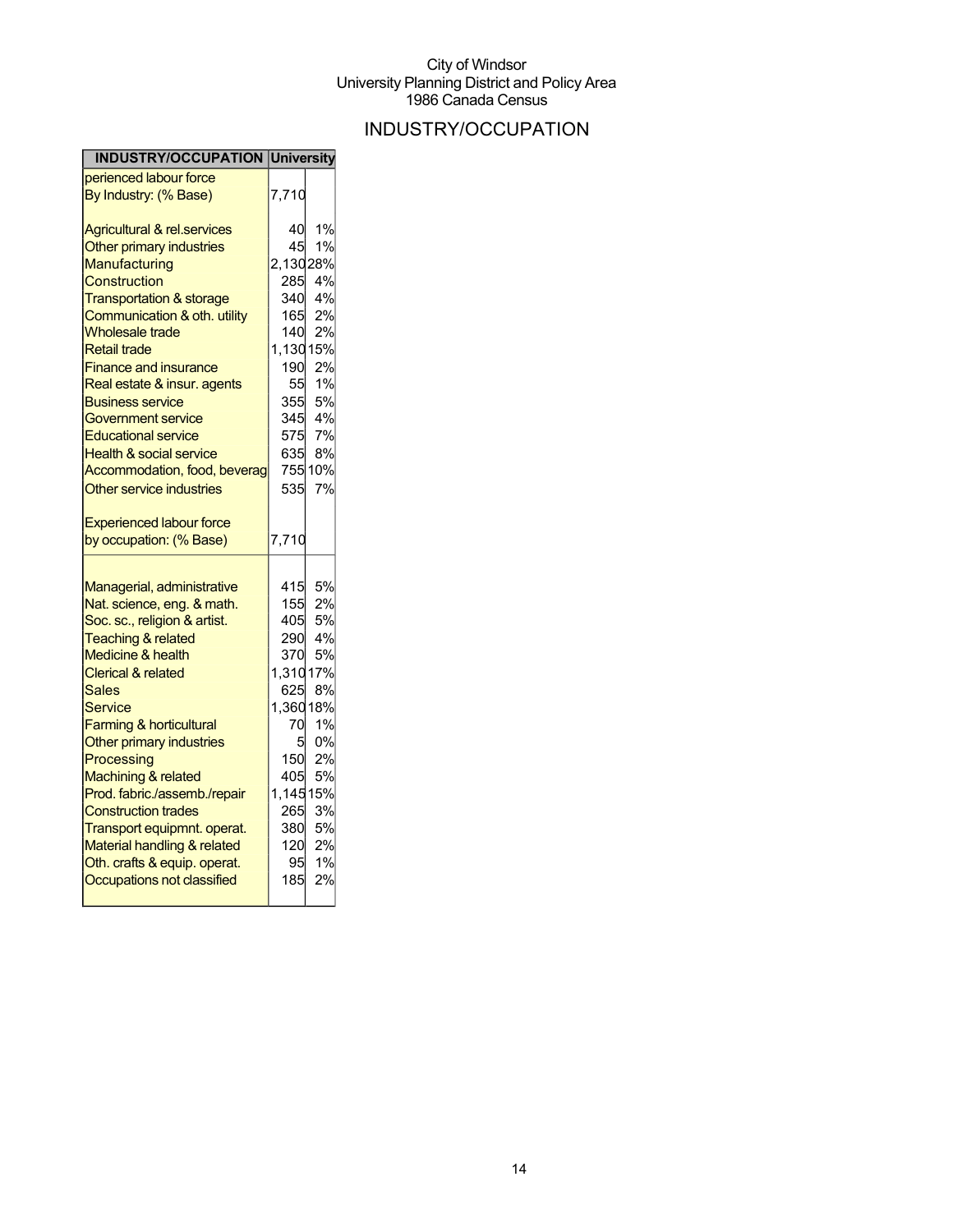## INDUSTRY/OCCUPATION

| <b>INDUSTRY/OCCUPATION University</b>                    |           |         |
|----------------------------------------------------------|-----------|---------|
| perienced labour force                                   |           |         |
| By Industry: (% Base)                                    | 7,710     |         |
| <b>Agricultural &amp; rel.services</b>                   | 40        | 1%      |
| Other primary industries                                 | 45        | 1%      |
| Manufacturing                                            | 2,13028%  |         |
| Construction                                             | 285       | 4%      |
| <b>Transportation &amp; storage</b>                      | 340       | 4%      |
| Communication & oth. utility                             | 165       | 2%      |
| <b>Wholesale trade</b>                                   | 140       | 2%      |
| <b>Retail trade</b>                                      | 1,130 15% |         |
| <b>Finance and insurance</b>                             | 190       | 2%      |
| Real estate & insur. agents                              | 55        | 1%      |
| <b>Business service</b>                                  | 355       | 5%      |
| Government service                                       |           | 345 4%  |
| <b>Educational service</b>                               |           | 575 7%  |
| <b>Health &amp; social service</b>                       | 635       | 8%      |
| Accommodation, food, beverag                             |           | 755 10% |
| Other service industries                                 | 535       | 7%      |
| <b>Experienced labour force</b>                          |           |         |
| by occupation: (% Base)                                  | 7,710     |         |
|                                                          | 415       | 5%      |
| Managerial, administrative<br>Nat. science, eng. & math. | 155       | 2%      |
| Soc. sc., religion & artist.                             | 405       | 5%      |
| <b>Teaching &amp; related</b>                            |           | 290 4%  |
| <b>Medicine &amp; health</b>                             | 370       | 5%      |
| <b>Clerical &amp; related</b>                            | 1,31017%  |         |
| <b>Sales</b>                                             | 625       | 8%      |
| Service                                                  | 1,36018%  |         |
| <b>Farming &amp; horticultural</b>                       | 70        | 1%      |
| Other primary industries                                 | 5         | 0%      |
| Processing                                               | 150       | 2%      |
| Machining & related                                      | 405       | 5%      |
| Prod. fabric./assemb./repair                             | 1,14515%  |         |
| <b>Construction trades</b>                               | 265       | 3%      |
| Transport equipmnt. operat.                              |           | 380 5%  |
| Material handling & related                              | 120       | 2%      |
| Oth. crafts & equip. operat.                             | 95        | 1%      |
| Occupations not classified                               | 185       | 2%      |
|                                                          |           |         |